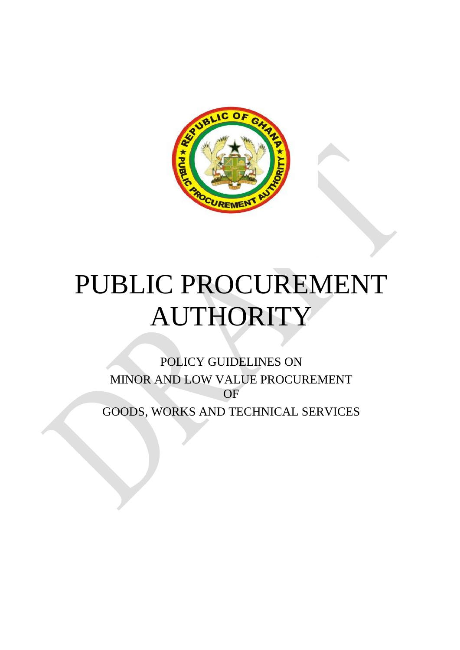

# PUBLIC PROCUREMENT AUTHORITY

POLICY GUIDELINES ON MINOR AND LOW VALUE PROCUREMENT OF GOODS, WORKS AND TECHNICAL SERVICES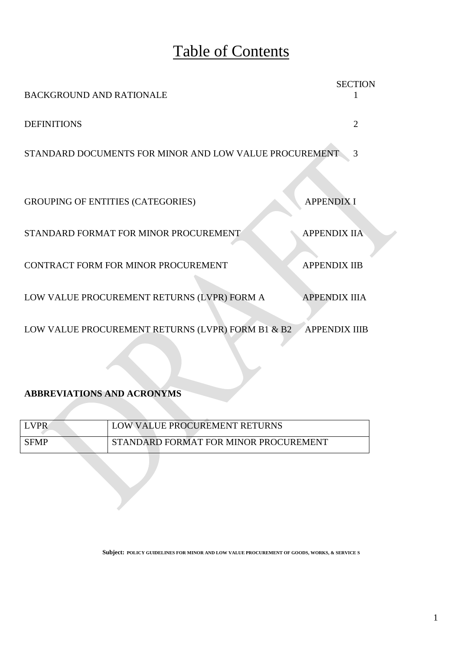## Table of Contents

| <b>BACKGROUND AND RATIONALE</b>                        | <b>SECTION</b>       |
|--------------------------------------------------------|----------------------|
| <b>DEFINITIONS</b>                                     | $\overline{2}$       |
| STANDARD DOCUMENTS FOR MINOR AND LOW VALUE PROCUREMENT | 3                    |
|                                                        |                      |
| <b>GROUPING OF ENTITIES (CATEGORIES)</b>               | <b>APPENDIX I</b>    |
| STANDARD FORMAT FOR MINOR PROCUREMENT                  | <b>APPENDIX IIA</b>  |
| CONTRACT FORM FOR MINOR PROCUREMENT                    | <b>APPENDIX IIB</b>  |
| LOW VALUE PROCUREMENT RETURNS (LVPR) FORM A            | <b>APPENDIX IIIA</b> |
| LOW VALUE PROCUREMENT RETURNS (LVPR) FORM B1 & B2      | <b>APPENDIX IIIB</b> |

#### **ABBREVIATIONS AND ACRONYMS**

| LVPR <sup>1</sup> | LOW VALUE PROCUREMENT RETURNS         |
|-------------------|---------------------------------------|
| <b>SFMP</b>       | STANDARD FORMAT FOR MINOR PROCUREMENT |

**Subject: POLICY GUIDELINES FOR MINOR AND LOW VALUE PROCUREMENT OF GOODS, WORKS, & SERVICE S**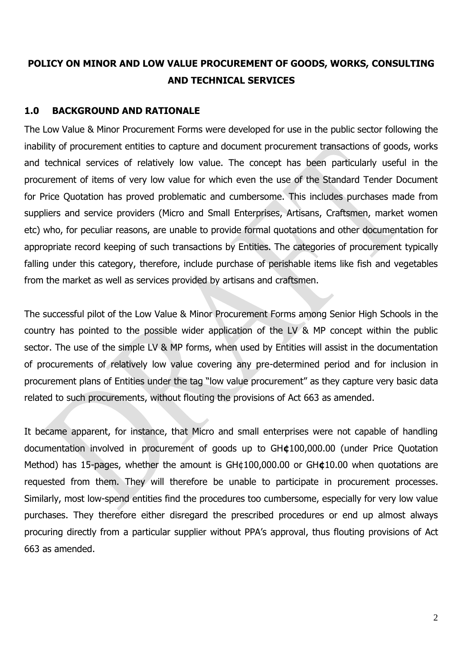## **POLICY ON MINOR AND LOW VALUE PROCUREMENT OF GOODS, WORKS, CONSULTING AND TECHNICAL SERVICES**

## **1.0 BACKGROUND AND RATIONALE**

The Low Value & Minor Procurement Forms were developed for use in the public sector following the inability of procurement entities to capture and document procurement transactions of goods, works and technical services of relatively low value. The concept has been particularly useful in the procurement of items of very low value for which even the use of the Standard Tender Document for Price Quotation has proved problematic and cumbersome. This includes purchases made from suppliers and service providers (Micro and Small Enterprises, Artisans, Craftsmen, market women etc) who, for peculiar reasons, are unable to provide formal quotations and other documentation for appropriate record keeping of such transactions by Entities. The categories of procurement typically falling under this category, therefore, include purchase of perishable items like fish and vegetables from the market as well as services provided by artisans and craftsmen.

The successful pilot of the Low Value & Minor Procurement Forms among Senior High Schools in the country has pointed to the possible wider application of the LV & MP concept within the public sector. The use of the simple LV & MP forms, when used by Entities will assist in the documentation of procurements of relatively low value covering any pre-determined period and for inclusion in procurement plans of Entities under the tag "low value procurement" as they capture very basic data related to such procurements, without flouting the provisions of Act 663 as amended.

It became apparent, for instance, that Micro and small enterprises were not capable of handling documentation involved in procurement of goods up to GH**¢**100,000.00 (under Price Quotation Method) has 15-pages, whether the amount is GH¢100,000.00 or GH**¢**10.00 when quotations are requested from them. They will therefore be unable to participate in procurement processes. Similarly, most low-spend entities find the procedures too cumbersome, especially for very low value purchases. They therefore either disregard the prescribed procedures or end up almost always procuring directly from a particular supplier without PPA's approval, thus flouting provisions of Act 663 as amended.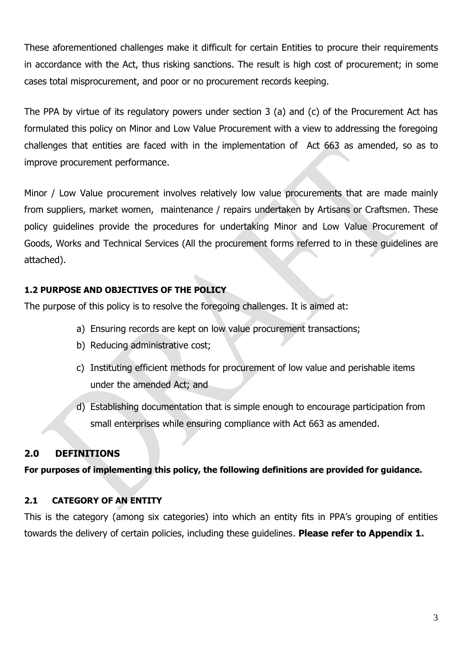These aforementioned challenges make it difficult for certain Entities to procure their requirements in accordance with the Act, thus risking sanctions. The result is high cost of procurement; in some cases total misprocurement, and poor or no procurement records keeping.

The PPA by virtue of its regulatory powers under section 3 (a) and (c) of the Procurement Act has formulated this policy on Minor and Low Value Procurement with a view to addressing the foregoing challenges that entities are faced with in the implementation of Act 663 as amended, so as to improve procurement performance.

Minor / Low Value procurement involves relatively low value procurements that are made mainly from suppliers, market women, maintenance / repairs undertaken by Artisans or Craftsmen. These policy guidelines provide the procedures for undertaking Minor and Low Value Procurement of Goods, Works and Technical Services (All the procurement forms referred to in these guidelines are attached).

## **1.2 PURPOSE AND OBJECTIVES OF THE POLICY**

The purpose of this policy is to resolve the foregoing challenges. It is aimed at:

- a) Ensuring records are kept on low value procurement transactions;
- b) Reducing administrative cost;
- c) Instituting efficient methods for procurement of low value and perishable items under the amended Act; and
- d) Establishing documentation that is simple enough to encourage participation from small enterprises while ensuring compliance with Act 663 as amended.

## **2.0 DEFINITIONS**

**For purposes of implementing this policy, the following definitions are provided for guidance.**

## **2.1 CATEGORY OF AN ENTITY**

This is the category (among six categories) into which an entity fits in PPA's grouping of entities towards the delivery of certain policies, including these guidelines. **Please refer to Appendix 1.**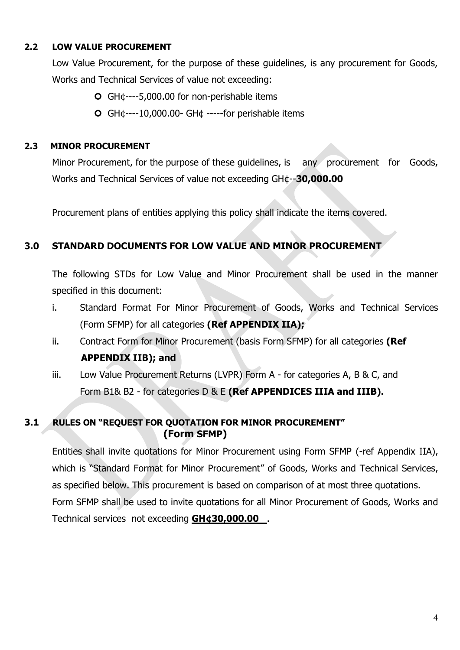## **2.2 LOW VALUE PROCUREMENT**

Low Value Procurement, for the purpose of these guidelines, is any procurement for Goods, Works and Technical Services of value not exceeding:

- GH¢----5,000.00 for non-perishable items
- GH¢----10,000.00- GH¢ -----for perishable items

## **2.3 MINOR PROCUREMENT**

Minor Procurement, for the purpose of these guidelines, is any procurement for Goods, Works and Technical Services of value not exceeding GH¢--**30,000.00**

Procurement plans of entities applying this policy shall indicate the items covered.

## **3.0 STANDARD DOCUMENTS FOR LOW VALUE AND MINOR PROCUREMENT**

The following STDs for Low Value and Minor Procurement shall be used in the manner specified in this document:

- i. Standard Format For Minor Procurement of Goods, Works and Technical Services (Form SFMP) for all categories **(Ref APPENDIX IIA);**
- ii. Contract Form for Minor Procurement (basis Form SFMP) for all categories **(Ref APPENDIX IIB); and**
- iii. Low Value Procurement Returns (LVPR) Form A for categories A, B & C, and Form B1& B2 - for categories D & E **(Ref APPENDICES IIIA and IIIB).**

## **3.1 RULES ON "REQUEST FOR QUOTATION FOR MINOR PROCUREMENT" (Form SFMP)**

Entities shall invite quotations for Minor Procurement using Form SFMP (-ref Appendix IIA), which is "Standard Format for Minor Procurement" of Goods, Works and Technical Services, as specified below. This procurement is based on comparison of at most three quotations. Form SFMP shall be used to invite quotations for all Minor Procurement of Goods, Works and Technical services not exceeding **GH¢30,000.00** .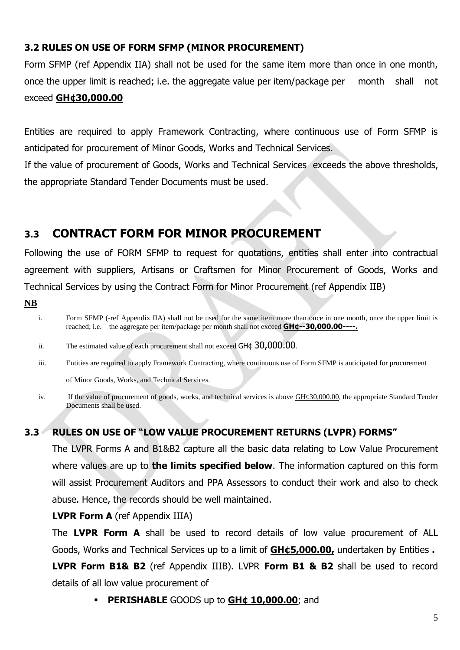## **3.2 RULES ON USE OF FORM SFMP (MINOR PROCUREMENT)**

Form SFMP (ref Appendix IIA) shall not be used for the same item more than once in one month, once the upper limit is reached; i.e. the aggregate value per item/package per month shall not exceed **GH¢30,000.00** 

Entities are required to apply Framework Contracting, where continuous use of Form SFMP is anticipated for procurement of Minor Goods, Works and Technical Services. If the value of procurement of Goods, Works and Technical Services exceeds the above thresholds, the appropriate Standard Tender Documents must be used.

## **3.3 CONTRACT FORM FOR MINOR PROCUREMENT**

Following the use of FORM SFMP to request for quotations, entities shall enter into contractual agreement with suppliers, Artisans or Craftsmen for Minor Procurement of Goods, Works and Technical Services by using the Contract Form for Minor Procurement (ref Appendix IIB)

**NB**

- ii. The estimated value of each procurement shall not exceed GH¢ 30,000.00.
- iii. Entities are required to apply Framework Contracting, where continuous use of Form SFMP is anticipated for procurement of Minor Goods, Works, and Technical Services.
- iv. If the value of procurement of goods, works, and technical services is above  $\frac{GH\mathcal{C}30,000.00}{SH\mathcal{C}30,000.00}$ , the appropriate Standard Tender Documents shall be used.

## **3.3 RULES ON USE OF "LOW VALUE PROCUREMENT RETURNS (LVPR) FORMS"**

The LVPR Forms A and B1&B2 capture all the basic data relating to Low Value Procurement where values are up to **the limits specified below**. The information captured on this form will assist Procurement Auditors and PPA Assessors to conduct their work and also to check abuse. Hence, the records should be well maintained.

#### **LVPR Form A** (ref Appendix IIIA)

The **LVPR Form A** shall be used to record details of low value procurement of ALL Goods, Works and Technical Services up to a limit of **GH¢5,000.00,** undertaken by Entities **. LVPR Form B1& B2** (ref Appendix IIIB). LVPR **Form B1 & B2** shall be used to record details of all low value procurement of

**PERISHABLE** GOODS up to **GH¢ 10,000.00**; and

i. Form SFMP (-ref Appendix IIA) shall not be used for the same item more than once in one month, once the upper limit is reached; i.e. the aggregate per item/package per month shall not exceed **GH¢--30,000.00----.**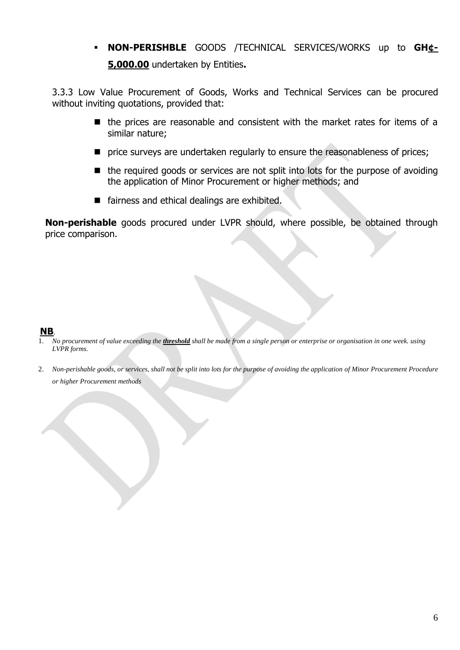**NON-PERISHBLE** GOODS /TECHNICAL SERVICES/WORKS up to **GH¢- 5,000.00** undertaken by Entities**.** 

3.3.3 Low Value Procurement of Goods, Works and Technical Services can be procured without inviting quotations, provided that:

- $\blacksquare$  the prices are reasonable and consistent with the market rates for items of a similar nature;
- **P** price surveys are undertaken regularly to ensure the reasonableness of prices;
- $\blacksquare$  the required goods or services are not split into lots for the purpose of avoiding the application of Minor Procurement or higher methods; and
- fairness and ethical dealings are exhibited.

**Non-perishable** goods procured under LVPR should, where possible, be obtained through price comparison.

#### **NB**.

- 1. *No procurement of value exceeding the threshold shall be made from a single person or enterprise or organisation in one week. using LVPR forms.*
- 2. *Non-perishable goods, or services, shall not be split into lots for the purpose of avoiding the application of Minor Procurement Procedure or higher Procurement methods*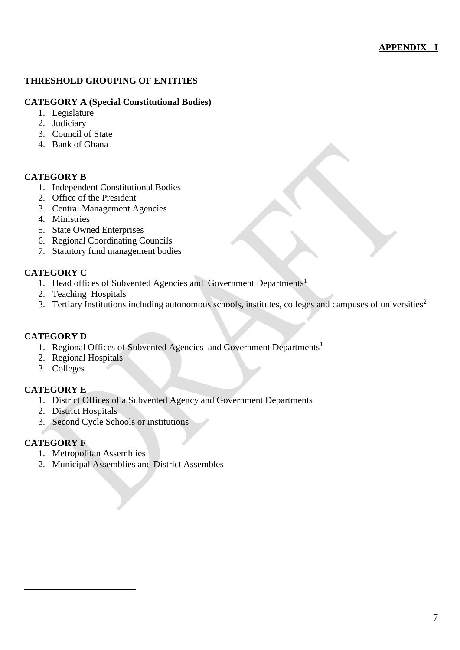#### **APPENDIX I**

#### **THRESHOLD GROUPING OF ENTITIES**

#### **CATEGORY A (Special Constitutional Bodies)**

- 1. Legislature
- 2. Judiciary
- 3. Council of State
- 4. Bank of Ghana

#### **CATEGORY B**

- 1. Independent Constitutional Bodies
- 2. Office of the President
- 3. Central Management Agencies
- 4. Ministries
- 5. State Owned Enterprises
- 6. Regional Coordinating Councils
- 7. Statutory fund management bodies

#### **CATEGORY C**

- 1. Head offices of Subvented Agencies and Government Departments<sup>1</sup>
- 2. Teaching Hospitals
- 3. Tertiary Institutions including autonomous schools, institutes, colleges and campuses of universities<sup>2</sup>

#### **CATEGORY D**

- 1. Regional Offices of Subvented Agencies and Government Departments<sup>1</sup>
- 2. Regional Hospitals
- 3. Colleges

#### **CATEGORY E**

- 1. District Offices of a Subvented Agency and Government Departments
- 2. District Hospitals
- 3. Second Cycle Schools or institutions

#### **CATEGORY F**

 $\overline{a}$ 

- 1. Metropolitan Assemblies
- 2. Municipal Assemblies and District Assembles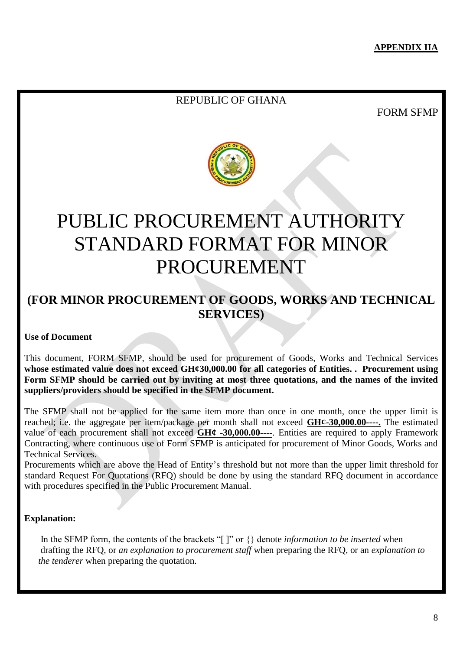### REPUBLIC OF GHANA

FORM SFMP



## PUBLIC PROCUREMENT AUTHORITY STANDARD FORMAT FOR MINOR PROCUREMENT

## **(FOR MINOR PROCUREMENT OF GOODS, WORKS AND TECHNICAL SERVICES)**

#### **Use of Document**

This document, FORM SFMP, should be used for procurement of Goods, Works and Technical Services **whose estimated value does not exceed GH¢30,000.00 for all categories of Entities. . Procurement using Form SFMP should be carried out by inviting at most three quotations, and the names of the invited suppliers/providers should be specified in the SFMP document.** 

The SFMP shall not be applied for the same item more than once in one month, once the upper limit is reached; i.e. the aggregate per item/package per month shall not exceed **GH¢-30,000.00----.** The estimated value of each procurement shall not exceed **GH¢ -30,000.00----**. Entities are required to apply Framework Contracting, where continuous use of Form SFMP is anticipated for procurement of Minor Goods, Works and Technical Services.

Procurements which are above the Head of Entity's threshold but not more than the upper limit threshold for standard Request For Quotations (RFQ) should be done by using the standard RFQ document in accordance with procedures specified in the Public Procurement Manual.

#### **Explanation:**

 In the SFMP form, the contents of the brackets "[ ]" or {} denote *information to be inserted* when drafting the RFQ, or *an explanation to procurement staff* when preparing the RFQ, or an *explanation to the tenderer* when preparing the quotation.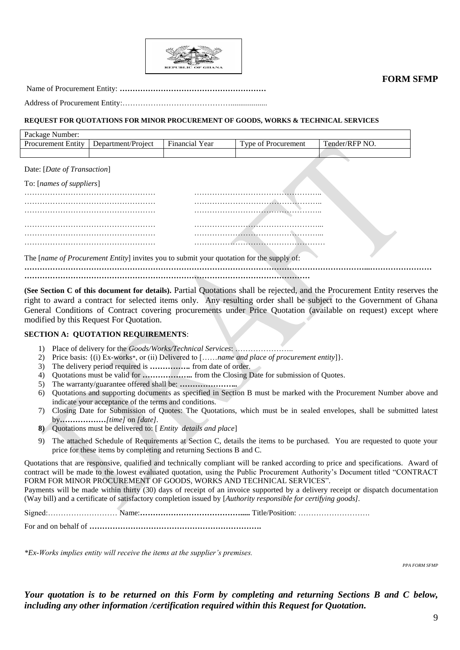

**FORM SFMP**

Name of Procurement Entity: **…………………………………………………**

Address of Procurement Entity:……………………………………...................

#### **REQUEST FOR QUOTATIONS FOR MINOR PROCUREMENT OF GOODS, WORKS & TECHNICAL SERVICES**

| Package Number:           |                    |                                               |                            |                |
|---------------------------|--------------------|-----------------------------------------------|----------------------------|----------------|
| <b>Procurement Entity</b> | Department/Project | $\overline{\phantom{a}}$<br>Year<br>Financial | <b>Type of Procurement</b> | Tender/RFP NO. |
|                           |                    |                                               |                            |                |

Date: [*Date of Transaction*]

| To: [names of suppliers] |  |
|--------------------------|--|
|                          |  |
|                          |  |
|                          |  |
|                          |  |
|                          |  |

The [*name of Procurement Entity*] invites you to submit your quotation for the supply of:

**……………………………………………………………………………………………………………………...……………………**

**…………………………………………………………………………………………………**

**(See Section C of this document for details).** Partial Quotations shall be rejected, and the Procurement Entity reserves the right to award a contract for selected items only. Any resulting order shall be subject to the Government of Ghana General Conditions of Contract covering procurements under Price Quotation (available on request) except where modified by this Request For Quotation.

#### **SECTION A: QUOTATION REQUIREMENTS**:

- 1) Place of delivery for the *Goods/Works/Technical Services*: …………………..
- 2) Price basis: {(i) Ex-works\*, or (ii) Delivered to [……*name and place of procurement entity*]}.
- 3) The delivery period required is *…………….* from date of order.
- 4) Quotations must be valid for *………………..* from the Closing Date for submission of Quotes.
- 5) The warranty/guarantee offered shall be: *…………………..*
- 6) Quotations and supporting documents as specified in Section B must be marked with the Procurement Number above and indicate your acceptance of the terms and conditions.
- 7) Closing Date for Submission of Quotes: The Quotations, which must be in sealed envelopes, shall be submitted latest by*………………[time]* on *[date].*
- **8)** Quotations must be delivered to: [ *Entity details and place*]
- 9) The attached Schedule of Requirements at Section C, details the items to be purchased. You are requested to quote your price for these items by completing and returning Sections B and C.

Quotations that are responsive, qualified and technically compliant will be ranked according to price and specifications. Award of contract will be made to the lowest evaluated quotation, using the Public Procurement Authority's Document titled "CONTRACT FORM FOR MINOR PROCUREMENT OF GOODS, WORKS AND TECHNICAL SERVICES".

Payments will be made within thirty (30) days of receipt of an invoice supported by a delivery receipt or dispatch documentation (Way bill) and a certificate of satisfactory completion issued by [*Authority responsible for certifying goods].*

Signed:……………………… Name:**………………………………….....** Title/Position: ……………………….

For and on behalf of **………………………………………………………….**

*\*Ex-Works implies entity will receive the items at the supplier's premises.*

*PPA FORM SFMP*

*Your quotation is to be returned on this Form by completing and returning Sections B and C below, including any other information /certification required within this Request for Quotation.*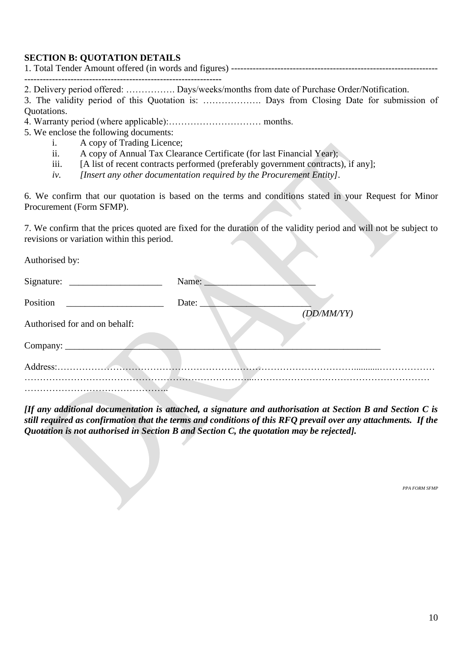#### **SECTION B: QUOTATION DETAILS**

2. Delivery period offered: ……………. Days/weeks/months from date of Purchase Order/Notification.

3. The validity period of this Quotation is: ………………. Days from Closing Date for submission of Quotations.

- 4. Warranty period (where applicable):………………………… months.
- 5. We enclose the following documents:
	- i. A copy of Trading Licence;
	- ii. A copy of Annual Tax Clearance Certificate (for last Financial Year);
	- iii. [A list of recent contracts performed (preferably government contracts), if any];
	- *iv. [Insert any other documentation required by the Procurement Entity].*

6. We confirm that our quotation is based on the terms and conditions stated in your Request for Minor Procurement (Form SFMP).

7. We confirm that the prices quoted are fixed for the duration of the validity period and will not be subject to revisions or variation within this period.

Authorised by:

|                               | Name:      |
|-------------------------------|------------|
| Position                      | Date:      |
| Authorised for and on behalf: | (DD/MM/YY) |
| Company:                      |            |
| Address:                      |            |
|                               |            |

*[If any additional documentation is attached, a signature and authorisation at Section B and Section C is still required as confirmation that the terms and conditions of this RFQ prevail over any attachments. If the Quotation is not authorised in Section B and Section C, the quotation may be rejected].*

*PPA FORM SFMP*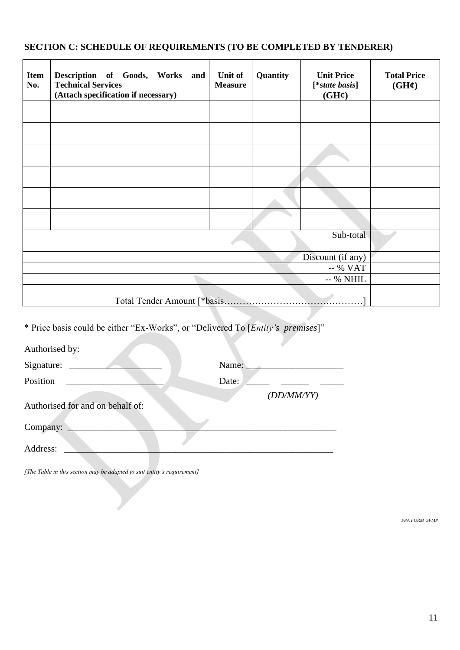## **SECTION C: SCHEDULE OF REQUIREMENTS (TO BE COMPLETED BY TENDERER)**

| <b>Item</b><br>No. | Description of Goods, Works and<br><b>Technical Services</b><br>(Attach specification if necessary) | Unit of<br><b>Measure</b> | Quantity | <b>Unit Price</b><br>[*state basis]<br>$(GH\mathcal{L})$ | <b>Total Price</b><br>$(GH\mathcal{C})$ |  |
|--------------------|-----------------------------------------------------------------------------------------------------|---------------------------|----------|----------------------------------------------------------|-----------------------------------------|--|
|                    |                                                                                                     |                           |          |                                                          |                                         |  |
|                    |                                                                                                     |                           |          |                                                          |                                         |  |
|                    |                                                                                                     |                           |          |                                                          |                                         |  |
|                    |                                                                                                     |                           |          |                                                          |                                         |  |
|                    |                                                                                                     |                           |          |                                                          |                                         |  |
|                    |                                                                                                     |                           |          |                                                          |                                         |  |
| Sub-total          |                                                                                                     |                           |          |                                                          |                                         |  |
| Discount (if any)  |                                                                                                     |                           |          |                                                          |                                         |  |
| -- % VAT           |                                                                                                     |                           |          |                                                          |                                         |  |
| -- % NHIL          |                                                                                                     |                           |          |                                                          |                                         |  |
|                    | Total Tender Amount [*basis                                                                         |                           |          |                                                          |                                         |  |

\* Price basis could be either "Ex-Works", or "Delivered To [*Entity's premises*]"

| Authorised by:                   |            |
|----------------------------------|------------|
| Signature:                       | Name:      |
| Position                         | Date:      |
|                                  | (DD/MM/YY) |
| Authorised for and on behalf of: |            |
| Company:                         |            |
| Address:                         |            |

*[The Table in this section may be adapted to suit entity's requirement]*

*PPA FORM SFMP*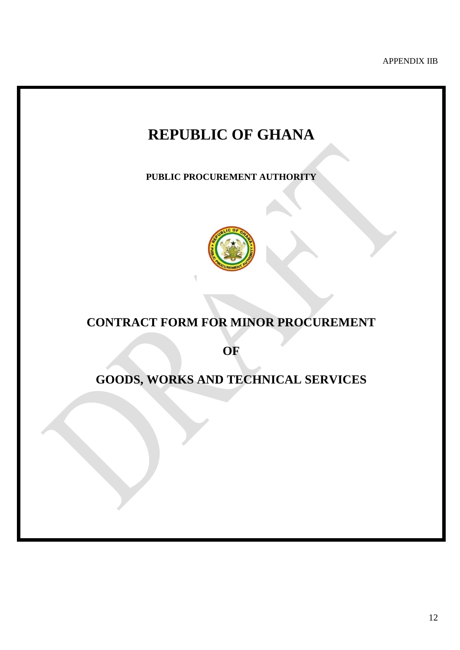APPENDIX IIB

## **REPUBLIC OF GHANA**

**PUBLIC PROCUREMENT AUTHORITY**



## **CONTRACT FORM FOR MINOR PROCUREMENT**

**OF** 

## **GOODS, WORKS AND TECHNICAL SERVICES**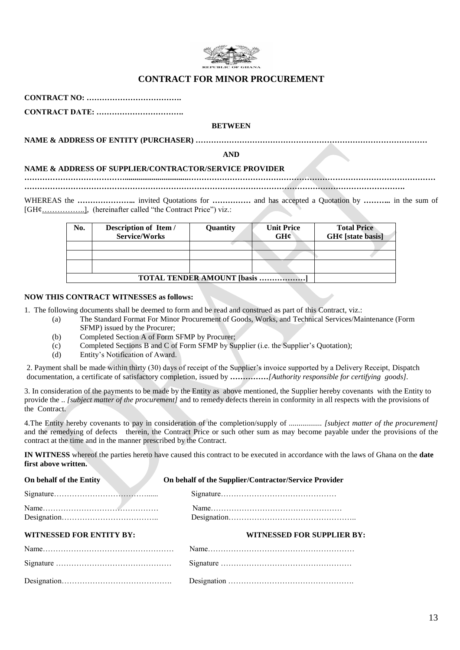

#### **CONTRACT FOR MINOR PROCUREMENT**

**CONTRACT NO: ……………………………….**

**CONTRACT DATE: …………………………….** 

#### **BETWEEN**

**NAME & ADDRESS OF ENTITY (PURCHASER) ………………………………………………………………………………**

**AND**

#### **NAME & ADDRESS OF SUPPLIER/CONTRACTOR/SERVICE PROVIDER**

*………………………………***….................................…………………………………………………………………………………… ………………………………………………………………………………………………………………………………….**

WHEREAS the *…………………* invited Quotations for *……………* and has accepted a Quotation by *………* in the sum of [GH¢................], (hereinafter called "the Contract Price") viz.:

| No. | Description of Item /<br><b>Service/Works</b> | Quantity | <b>Unit Price</b><br>GHC | <b>Total Price</b><br>$GH¢$ [state basis] |  |  |
|-----|-----------------------------------------------|----------|--------------------------|-------------------------------------------|--|--|
|     |                                               |          |                          |                                           |  |  |
|     |                                               |          |                          |                                           |  |  |
|     |                                               |          |                          |                                           |  |  |
|     | <b>TOTAL TENDER AMOUNT [basis ]</b>           |          |                          |                                           |  |  |

#### **NOW THIS CONTRACT WITNESSES as follows:**

1. The following documents shall be deemed to form and be read and construed as part of this Contract, viz.:

- (a) The Standard Format For Minor Procurement of Goods, Works, and Technical Services/Maintenance (Form SFMP) issued by the Procurer;
	- (b) Completed Section A of Form SFMP by Procurer;
	- (c) Completed Sections B and C of Form SFMP by Supplier (i.e. the Supplier's Quotation);
	- (d) Entity's Notification of Award.

2. Payment shall be made within thirty (30) days of receipt of the Supplier's invoice supported by a Delivery Receipt, Dispatch documentation, a certificate of satisfactory completion, issued by *……………[Authority responsible for certifying goods].*

3. In consideration of the payments to be made by the Entity as above mentioned, the Supplier hereby covenants with the Entity to provide the .. *[subject matter of the procurement]* and to remedy defects therein in conformity in all respects with the provisions of the Contract.

4.The Entity hereby covenants to pay in consideration of the completion/supply of *................. [subject matter of the procurement]* and the remedying of defects therein, the Contract Price or such other sum as may become payable under the provisions of the contract at the time and in the manner prescribed by the Contract.

**IN WITNESS** whereof the parties hereto have caused this contract to be executed in accordance with the laws of Ghana on the **date first above written.**

| On behalf of the Entity         | On behalf of the Supplier/Contractor/Service Provider |
|---------------------------------|-------------------------------------------------------|
|                                 |                                                       |
|                                 |                                                       |
| <b>WITNESSED FOR ENTITY BY:</b> | WITNESSED FOR SUPPLIER BY:                            |
|                                 |                                                       |
|                                 |                                                       |
|                                 |                                                       |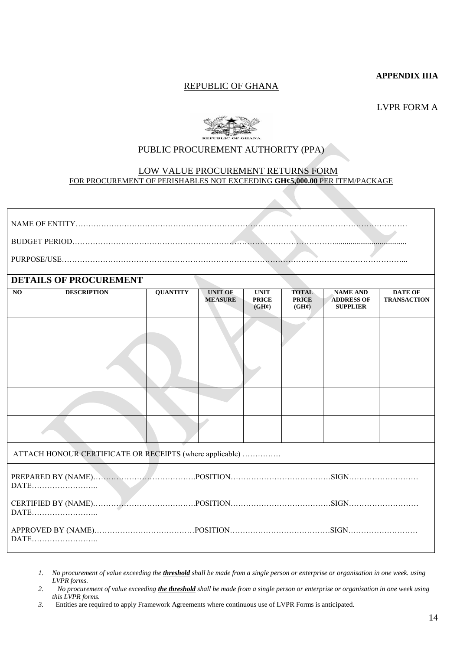#### **APPENDIX IIIA**

#### REPUBLIC OF GHANA

LVPR FORM A



#### PUBLIC PROCUREMENT AUTHORITY (PPA)

#### LOW VALUE PROCUREMENT RETURNS FORM FOR PROCUREMENT OF PERISHABLES NOT EXCEEDING **GH¢5,000.00** PER ITEM/PACKAGE

|                                                          | <b>DETAILS OF PROCUREMENT</b>                                           |                 |                                  |                                                  |                                                   |                                                         |                                      |
|----------------------------------------------------------|-------------------------------------------------------------------------|-----------------|----------------------------------|--------------------------------------------------|---------------------------------------------------|---------------------------------------------------------|--------------------------------------|
| $\overline{NQ}$                                          | <b>DESCRIPTION</b>                                                      | <b>QUANTITY</b> | <b>UNIT OF</b><br><b>MEASURE</b> | <b>UNIT</b><br><b>PRICE</b><br>$(GH\mathcal{C})$ | <b>TOTAL</b><br><b>PRICE</b><br>$(GH\mathcal{C})$ | <b>NAME AND</b><br><b>ADDRESS OF</b><br><b>SUPPLIER</b> | <b>DATE OF</b><br><b>TRANSACTION</b> |
|                                                          |                                                                         |                 |                                  |                                                  |                                                   |                                                         |                                      |
|                                                          |                                                                         |                 |                                  |                                                  |                                                   |                                                         |                                      |
|                                                          |                                                                         |                 |                                  |                                                  |                                                   |                                                         |                                      |
|                                                          |                                                                         |                 |                                  |                                                  |                                                   |                                                         |                                      |
| ATTACH HONOUR CERTIFICATE OR RECEIPTS (where applicable) |                                                                         |                 |                                  |                                                  |                                                   |                                                         |                                      |
|                                                          | PREPARED BY (NAME). MARIE POSITION. POSITION. And ALL POSITION.<br>DATE |                 |                                  |                                                  |                                                   |                                                         |                                      |
| DATE                                                     |                                                                         |                 |                                  |                                                  |                                                   |                                                         |                                      |
|                                                          | DATE                                                                    |                 |                                  |                                                  |                                                   |                                                         |                                      |

- *1. No procurement of value exceeding the threshold shall be made from a single person or enterprise or organisation in one week. using LVPR forms.*
- *2. No procurement of value exceeding the threshold shall be made from a single person or enterprise or organisation in one week using this LVPR forms.*
- *3.* Entities are required to apply Framework Agreements where continuous use of LVPR Forms is anticipated.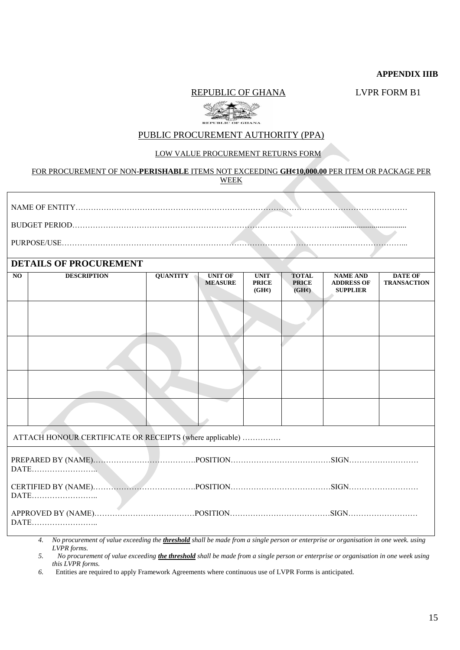#### **APPENDIX IIIB**

**REPUBLIC OF GHANA** LVPR FORM B1



#### PUBLIC PROCUREMENT AUTHORITY (PPA)

#### LOW VALUE PROCUREMENT RETURNS FORM

#### FOR PROCUREMENT OF NON-**PERISHABLE** ITEMS NOT EXCEEDING **GH¢10,000.00** PER ITEM OR PACKAGE PER WEEK

| PURPOSE/USE. |  |
|--------------|--|
|              |  |

#### **DETAILS OF PROCUREMENT**

| репирот поссиения                                        |                    |                 |                                  |                                                   |                                                   |                                                         |                                      |  |  |  |
|----------------------------------------------------------|--------------------|-----------------|----------------------------------|---------------------------------------------------|---------------------------------------------------|---------------------------------------------------------|--------------------------------------|--|--|--|
| NO                                                       | <b>DESCRIPTION</b> | <b>QUANTITY</b> | <b>UNIT OF</b><br><b>MEASURE</b> | <b>UNIT</b><br><b>PRICE</b><br>$(GH\mathfrak{C})$ | <b>TOTAL</b><br><b>PRICE</b><br>$(GH\mathcal{C})$ | <b>NAME AND</b><br><b>ADDRESS OF</b><br><b>SUPPLIER</b> | <b>DATE OF</b><br><b>TRANSACTION</b> |  |  |  |
|                                                          |                    |                 |                                  |                                                   |                                                   |                                                         |                                      |  |  |  |
|                                                          |                    |                 |                                  |                                                   |                                                   |                                                         |                                      |  |  |  |
|                                                          |                    |                 |                                  |                                                   |                                                   |                                                         |                                      |  |  |  |
|                                                          |                    |                 |                                  |                                                   |                                                   |                                                         |                                      |  |  |  |
| ATTACH HONOUR CERTIFICATE OR RECEIPTS (where applicable) |                    |                 |                                  |                                                   |                                                   |                                                         |                                      |  |  |  |
|                                                          |                    |                 |                                  |                                                   |                                                   |                                                         |                                      |  |  |  |
| DATE                                                     |                    |                 |                                  |                                                   |                                                   |                                                         |                                      |  |  |  |
| DATE                                                     |                    |                 |                                  |                                                   |                                                   |                                                         |                                      |  |  |  |

*4. No procurement of value exceeding the threshold shall be made from a single person or enterprise or organisation in one week. using LVPR forms.* 

*5. No procurement of value exceeding the threshold shall be made from a single person or enterprise or organisation in one week using this LVPR forms.* 

*6.* Entities are required to apply Framework Agreements where continuous use of LVPR Forms is anticipated.